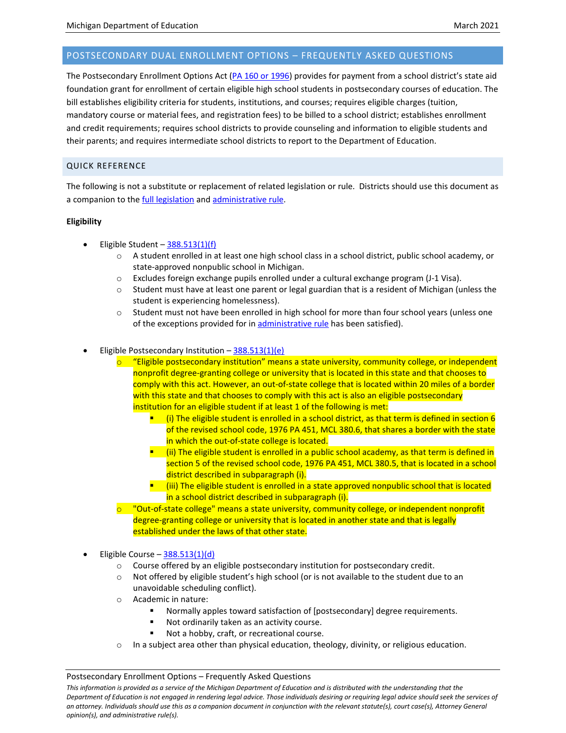# POSTSECONDARY DUAL ENROLLMENT OPTIONS – FREQUENTLY ASKED QUESTIONS

The Postsecondary Enrollment Options Act [\(PA 160 or 1996\)](http://legislature.mi.gov/doc.aspx?mcl-Act-160-of-1996) provides for payment from a school district's state aid foundation grant for enrollment of certain eligible high school students in postsecondary courses of education. The bill establishes eligibility criteria for students, institutions, and courses; requires eligible charges (tuition, mandatory course or material fees, and registration fees) to be billed to a school district; establishes enrollment and credit requirements; requires school districts to provide counseling and information to eligible students and their parents; and requires intermediate school districts to report to the Department of Education.

# QUICK REFERENCE

The following is not a substitute or replacement of related legislation or rule. Districts should use this document as a companion to th[e full legislation](http://legislature.mi.gov/doc.aspx?mcl-Act-160-of-1996) and [administrative rule.](https://ars.apps.lara.state.mi.us/AdminCode/DownloadAdminCodeFile?FileName=1566_2015-061ED_AdminCode.pdf&ReturnHTML=True)

# **Eligibility**

- Eligible Student  $-\frac{388.513(1)(f)}{2}$  $-\frac{388.513(1)(f)}{2}$  $-\frac{388.513(1)(f)}{2}$ 
	- $\circ$  A student enrolled in at least one high school class in a school district, public school academy, or state-approved nonpublic school in Michigan.
	- $\circ$  Excludes foreign exchange pupils enrolled under a cultural exchange program (J-1 Visa).
	- $\circ$  Student must have at least one parent or legal guardian that is a resident of Michigan (unless the student is experiencing homelessness).
	- $\circ$  Student must not have been enrolled in high school for more than four school years (unless one of the exceptions provided for in [administrative rule](https://ars.apps.lara.state.mi.us/AdminCode/DownloadAdminCodeFile?FileName=1566_2015-061ED_AdminCode.pdf&ReturnHTML=True) has been satisfied).
- Eligible Postsecondary Institution  $-\frac{388.513(1)(e)}{e}$  $-\frac{388.513(1)(e)}{e}$  $-\frac{388.513(1)(e)}{e}$ 
	- $\circ$  "Eligible postsecondary institution" means a state university, community college, or independent nonprofit degree-granting college or university that is located in this state and that chooses to comply with this act. However, an out-of-state college that is located within 20 miles of a border with this state and that chooses to comply with this act is also an eligible postsecondary institution for an eligible student if at least 1 of the following is met:
		- $\blacksquare$  (i) The eligible student is enrolled in a school district, as that term is defined in section 6 of the revised school code, 1976 PA 451, MCL 380.6, that shares a border with the state in which the out-of-state college is located.
		- $\blacksquare$  (ii) The eligible student is enrolled in a public school academy, as that term is defined in section 5 of the revised school code, 1976 PA 451, MCL 380.5, that is located in a school district described in subparagraph (i).
		- $\blacksquare$  (iii) The eligible student is enrolled in a state approved nonpublic school that is located in a school district described in subparagraph (i).
	- "Out-of-state college" means a state university, community college, or independent nonprofit degree-granting college or university that is located in another state and that is legally established under the laws of that other state.
- Eligible Course  $-388.513(1)(d)$  $-388.513(1)(d)$ 
	- o Course offered by an eligible postsecondary institution for postsecondary credit.
	- $\circ$  Not offered by eligible student's high school (or is not available to the student due to an unavoidable scheduling conflict).
	- o Academic in nature:
		- Normally apples toward satisfaction of [postsecondary] degree requirements.
		- Not ordinarily taken as an activity course.
		- Not a hobby, craft, or recreational course.
	- $\circ$  In a subject area other than physical education, theology, divinity, or religious education.

Postsecondary Enrollment Options – Frequently Asked Questions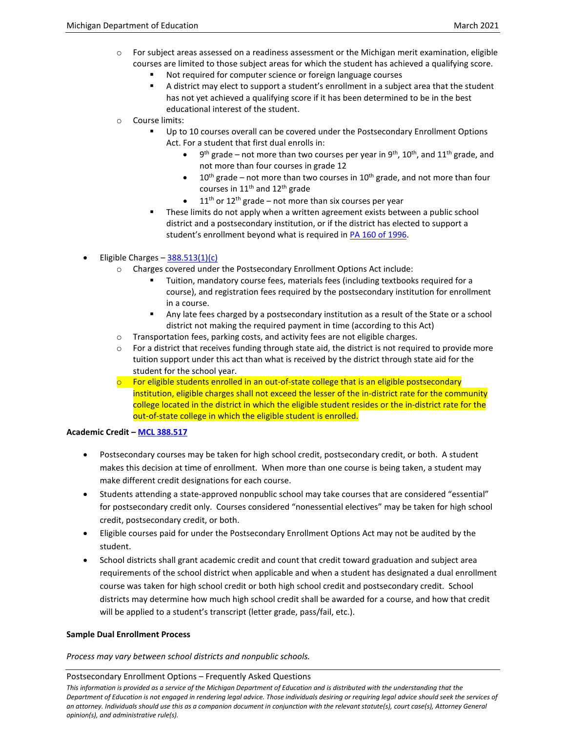- $\circ$  For subject areas assessed on a readiness assessment or the Michigan merit examination, eligible courses are limited to those subject areas for which the student has achieved a qualifying score.
	- Not required for computer science or foreign language courses
	- A district may elect to support a student's enrollment in a subject area that the student has not yet achieved a qualifying score if it has been determined to be in the best educational interest of the student.
- o Course limits:
	- Up to 10 courses overall can be covered under the Postsecondary Enrollment Options Act. For a student that first dual enrolls in:
		- $9<sup>th</sup>$  grade not more than two courses per year in  $9<sup>th</sup>$ , 10<sup>th</sup>, and 11<sup>th</sup> grade, and not more than four courses in grade 12
		- 10<sup>th</sup> grade not more than two courses in 10<sup>th</sup> grade, and not more than four courses in  $11<sup>th</sup>$  and  $12<sup>th</sup>$  grade
		- 11<sup>th</sup> or 12<sup>th</sup> grade not more than six courses per year
	- These limits do not apply when a written agreement exists between a public school district and a postsecondary institution, or if the district has elected to support a student's enrollment beyond what is required i[n PA 160 of 1996.](http://legislature.mi.gov/doc.aspx?mcl-Act-160-of-1996)

Eligible Charges  $-388.513(1)(c)$  $-388.513(1)(c)$ 

- o Charges covered under the Postsecondary Enrollment Options Act include:
	- Tuition, mandatory course fees, materials fees (including textbooks required for a course), and registration fees required by the postsecondary institution for enrollment in a course.
	- Any late fees charged by a postsecondary institution as a result of the State or a school district not making the required payment in time (according to this Act)
- $\circ$  Transportation fees, parking costs, and activity fees are not eligible charges.
- $\circ$  For a district that receives funding through state aid, the district is not required to provide more tuition support under this act than what is received by the district through state aid for the student for the school year.
- $\circ$  For eligible students enrolled in an out-of-state college that is an eligible postsecondary institution, eligible charges shall not exceed the lesser of the in-district rate for the community college located in the district in which the eligible student resides or the in-district rate for the out-of-state college in which the eligible student is enrolled.

## **Academic Credit – [MCL 388.517](http://legislature.mi.gov/doc.aspx?mcl-388-517)**

- Postsecondary courses may be taken for high school credit, postsecondary credit, or both. A student makes this decision at time of enrollment. When more than one course is being taken, a student may make different credit designations for each course.
- Students attending a state-approved nonpublic school may take courses that are considered "essential" for postsecondary credit only. Courses considered "nonessential electives" may be taken for high school credit, postsecondary credit, or both.
- Eligible courses paid for under the Postsecondary Enrollment Options Act may not be audited by the student.
- School districts shall grant academic credit and count that credit toward graduation and subject area requirements of the school district when applicable and when a student has designated a dual enrollment course was taken for high school credit or both high school credit and postsecondary credit. School districts may determine how much high school credit shall be awarded for a course, and how that credit will be applied to a student's transcript (letter grade, pass/fail, etc.).

## **Sample Dual Enrollment Process**

*Process may vary between school districts and nonpublic schools.*

### Postsecondary Enrollment Options – Frequently Asked Questions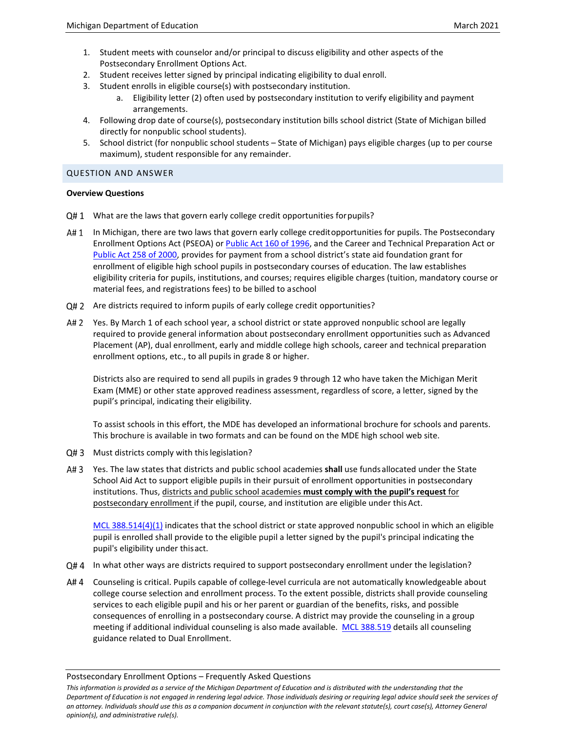- 1. Student meets with counselor and/or principal to discuss eligibility and other aspects of the Postsecondary Enrollment Options Act.
- 2. Student receives letter signed by principal indicating eligibility to dual enroll.
- 3. Student enrolls in eligible course(s) with postsecondary institution.
	- a. Eligibility letter (2) often used by postsecondary institution to verify eligibility and payment arrangements.
- 4. Following drop date of course(s), postsecondary institution bills school district (State of Michigan billed directly for nonpublic school students).
- 5. School district (for nonpublic school students State of Michigan) pays eligible charges (up to per course maximum), student responsible for any remainder.

### QUESTION AND ANSWER

### **Overview Questions**

- Q#1 What are the laws that govern early college credit opportunities for pupils?
- A# 1 In Michigan, there are two laws that govern early college creditopportunities for pupils. The Postsecondary Enrollment Options Act (PSEOA) o[r Public Act 160 of 1996,](http://legislature.mi.gov/doc.aspx?mcl-Act-160-of-1996) and the Career and Technical Preparation Act or [Public Act 258 of 2000,](http://legislature.mi.gov/doc.aspx?mcl-Act-258-of-2000) provides for payment from a school district's state aid foundation grant for enrollment of eligible high school pupils in postsecondary courses of education. The law establishes eligibility criteria for pupils, institutions, and courses; requires eligible charges (tuition, mandatory course or material fees, and registrations fees) to be billed to aschool
- Q#2 Are districts required to inform pupils of early college credit opportunities?
- A# 2 Yes. By March 1 of each school year, a school district or state approved nonpublic school are legally required to provide general information about postsecondary enrollment opportunities such as Advanced Placement (AP), dual enrollment, early and middle college high schools, career and technical preparation enrollment options, etc., to all pupils in grade 8 or higher.

Districts also are required to send all pupils in grades 9 through 12 who have taken the Michigan Merit Exam (MME) or other state approved readiness assessment, regardless of score, a letter, signed by the pupil's principal, indicating their eligibility.

To assist schools in this effort, the MDE has developed an informational brochure for schools and parents. This brochure is available in two formats and can be found on the [MDE high school web site.](http://www.mi.gov/highschool)

- Q#3 Must districts comply with this legislation?
- A# 3 Yes. The law states that districts and public school academies shall use funds allocated under the State School Aid Act to support eligible pupils in their pursuit of enrollment opportunities in postsecondary institutions. Thus, districts and public school academies **must comply with the pupil's request** for postsecondary enrollment if the pupil, course, and institution are eligible under this Act.

[MCL 388.514\(4\)\(1\)](http://legislature.mi.gov/doc.aspx?mcl-388-514) indicates that the school district or state approved nonpublic school in which an eligible pupil is enrolled shall provide to the eligible pupil a letter signed by the pupil's principal indicating the pupil's eligibility under thisact.

- Q#4 In what other ways are districts required to support postsecondary enrollment under the legislation?
- A# 4 Counseling is critical. Pupils capable of college-level curricula are not automatically knowledgeable about college course selection and enrollment process. To the extent possible, districts shall provide counseling services to each eligible pupil and his or her parent or guardian of the benefits, risks, and possible consequences of enrolling in a postsecondary course. A district may provide the counseling in a group meeting if additional individual counseling is also made available. [MCL 388.519](http://legislature.mi.gov/doc.aspx?mcl-388-519) details all counseling guidance related to Dual Enrollment.

Postsecondary Enrollment Options – Frequently Asked Questions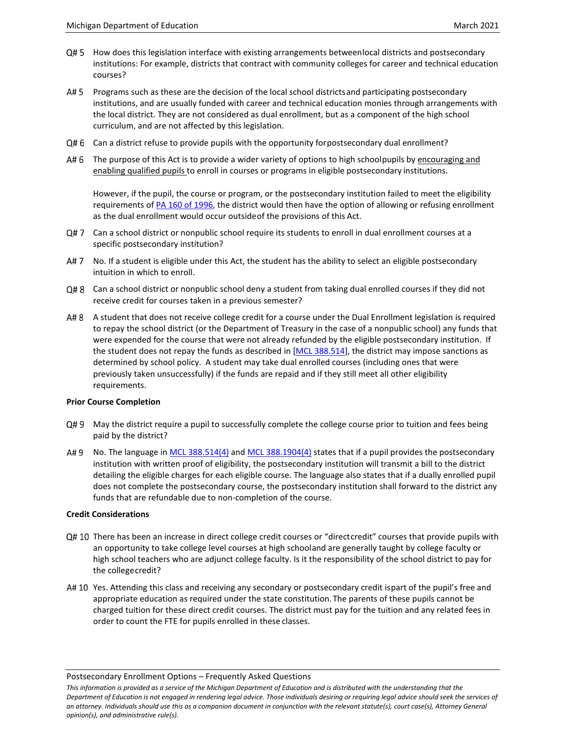- $Q#5$  How does this legislation interface with existing arrangements betweenlocal districts and postsecondary institutions: For example, districts that contract with community colleges for career and technical education courses?
- A# 5 Programs such as these are the decision of the local school districts and participating postsecondary institutions, and are usually funded with career and technical education monies through arrangements with the local district. They are not considered as dual enrollment, but as a component of the high school curriculum, and are not affected by this legislation.
- Q#6 Can a district refuse to provide pupils with the opportunity forpostsecondary dual enrollment?
- A#6 The purpose of this Act is to provide a wider variety of options to high schoolpupils by encouraging and enabling qualified pupils to enroll in courses or programs in eligible postsecondary institutions.

However, if the pupil, the course or program, or the postsecondary institution failed to meet the eligibility requirements of [PA 160 of 1996,](http://legislature.mi.gov/doc.aspx?mcl-Act-160-of-1996) the district would then have the option of allowing or refusing enrollment as the dual enrollment would occur outsideof the provisions of this Act.

- Q#7 Can a school district or nonpublic school require its students to enroll in dual enrollment courses at a specific postsecondary institution?
- A# 7 No. If a student is eligible under this Act, the student has the ability to select an eligible postsecondary intuition in which to enroll.
- Q#8 Can a school district or nonpublic school deny a student from taking dual enrolled courses if they did not receive credit for courses taken in a previous semester?
- A#8 A student that does not receive college credit for a course under the Dual Enrollment legislation is required to repay the school district (or the Department of Treasury in the case of a nonpublic school) any funds that were expended for the course that were not already refunded by the eligible postsecondary institution. If the student does not repay the funds as described in [\[MCL 388.514\]](http://legislature.mi.gov/doc.aspx?mcl-388-514), the district may impose sanctions as determined by school policy. A student may take dual enrolled courses (including ones that were previously taken unsuccessfully) if the funds are repaid and if they still meet all other eligibility requirements.

## **Prior Course Completion**

- Q#9 May the district require a pupil to successfully complete the college course prior to tuition and fees being paid by the district?
- A# 9 No. The language i[n MCL 388.514\(4\)](http://legislature.mi.gov/doc.aspx?mcl-388-514) and [MCL 388.1904\(4\)](http://legislature.mi.gov/doc.aspx?mcl-388-1904) states that if a pupil provides the postsecondary institution with written proof of eligibility, the postsecondary institution will transmit a bill to the district detailing the eligible charges for each eligible course. The language also states that if a dually enrolled pupil does not complete the postsecondary course, the postsecondary institution shall forward to the district any funds that are refundable due to non-completion of the course.

### **Credit Considerations**

- Q# 10 There has been an increase in direct college credit courses or "directcredit" courses that provide pupils with an opportunity to take college level courses at high schooland are generally taught by college faculty or high school teachers who are adjunct college faculty. Is it the responsibility of the school district to pay for the collegecredit?
- A# 10 Yes. Attending this class and receiving any secondary or postsecondary credit ispart of the pupil's free and appropriate education as required under the state constitution.The parents of these pupils cannot be charged tuition for these direct credit courses. The district must pay for the tuition and any related fees in order to count the FTE for pupils enrolled in these classes.

Postsecondary Enrollment Options – Frequently Asked Questions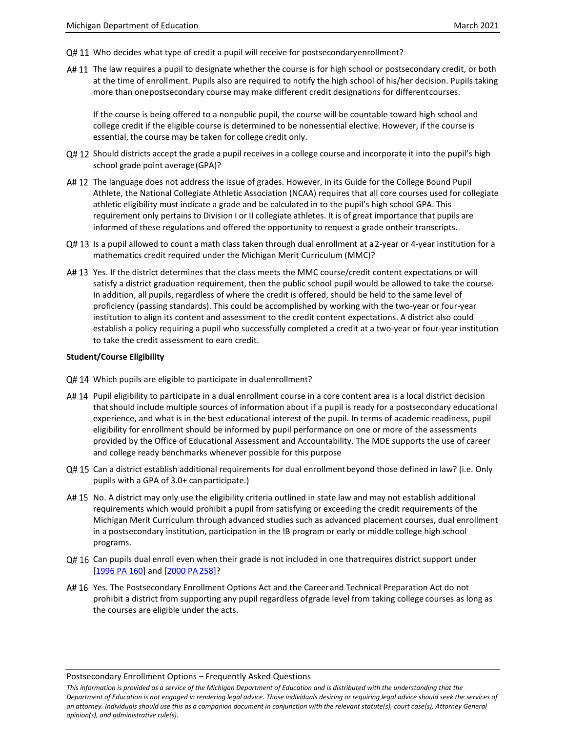- Q# 11 Who decides what type of credit a pupil will receive for postsecondaryenrollment?
- A# 11 The law requires a pupil to designate whether the course is for high school or postsecondary credit, or both at the time of enrollment. Pupils also are required to notify the high school of his/her decision. Pupils taking more than onepostsecondary course may make different credit designations for differentcourses.

If the course is being offered to a nonpublic pupil, the course will be countable toward high school and college credit if the eligible course is determined to be nonessential elective. However, if the course is essential, the course may be taken for college credit only.

- $Q#12$  Should districts accept the grade a pupil receives in a college course and incorporate it into the pupil's high school grade point average(GPA)?
- A# 12 The language does not address the issue of grades. However, in its Guide for the College Bound Pupil Athlete, the National Collegiate Athletic Association (NCAA) requires that all core courses used for collegiate athletic eligibility must indicate a grade and be calculated in to the pupil's high school GPA. This requirement only pertains to Division I or II collegiate athletes. It is of great importance that pupils are informed of these regulations and offered the opportunity to request a grade ontheir transcripts.
- $Q#13$  Is a pupil allowed to count a math class taken through dual enrollment at a 2-year or 4-year institution for a mathematics credit required under the Michigan Merit Curriculum (MMC)?
- A# 13 Yes. If the district determines that the class meets the MMC course/credit content expectations or will satisfy a district graduation requirement, then the public school pupil would be allowed to take the course. In addition, all pupils, regardless of where the credit is offered, should be held to the same level of proficiency (passing standards). This could be accomplished by working with the two-year or four-year institution to align its content and assessment to the credit content expectations. A district also could establish a policy requiring a pupil who successfully completed a credit at a two-year or four-year institution to take the credit assessment to earn credit.

### **Student/Course Eligibility**

- Q# 14 Which pupils are eligible to participate in dual enrollment?
- A# 14 Pupil eligibility to participate in a dual enrollment course in a core content area is a local district decision thatshould include multiple sources of information about if a pupil is ready for a postsecondary educational experience, and what is in the best educational interest of the pupil. In terms of academic readiness, pupil eligibility for enrollment should be informed by pupil performance on one or more of the assessments provided by the Office of Educational Assessment and Accountability. The MDE supports the use of career and college ready benchmarks whenever possible for this purpose
- Q# 15 Can a district establish additional requirements for dual enrollment beyond those defined in law? (i.e. Only pupils with a GPA of 3.0+ canparticipate.)
- A# 15 No. A district may only use the eligibility criteria outlined in state law and may not establish additional requirements which would prohibit a pupil from satisfying or exceeding the credit requirements of the Michigan Merit Curriculum through advanced studies such as advanced placement courses, dual enrollment in a postsecondary institution, participation in the IB program or early or middle college high school programs.
- Q# 16 Can pupils dual enroll even when their grade is not included in one thatrequires district support under [\[1996 PA 160\]](http://legislature.mi.gov/doc.aspx?mcl-Act-160-of-1996) and [\[2000 PA258\]](http://legislature.mi.gov/doc.aspx?mcl-act-258-of-2000)?
- A# 16 Yes. The Postsecondary Enrollment Options Act and the Careerand Technical Preparation Act do not prohibit a district from supporting any pupil regardless ofgrade level from taking college courses as long as the courses are eligible under the acts.

Postsecondary Enrollment Options – Frequently Asked Questions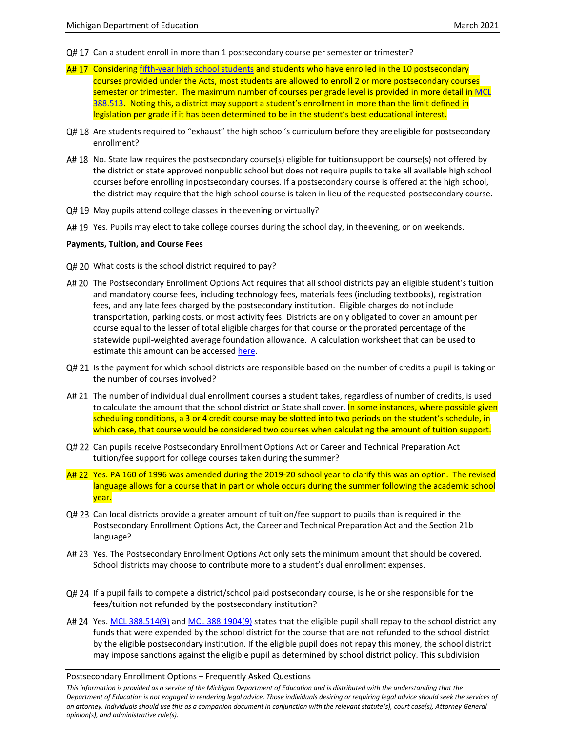- Q# 17 Can a student enroll in more than 1 postsecondary course per semester or trimester?
- A# 17 Considering [fifth-year high school students](https://ars.apps.lara.state.mi.us/AdminCode/DownloadAdminCodeFile?FileName=1566_2015-061ED_AdminCode.pdf&ReturnHTML=True) and students who have enrolled in the 10 postsecondary courses provided under the Acts, most students are allowed to enroll 2 or more postsecondary courses semester or trimester. The maximum number of courses per grade level is provided in more detail in MCL [388.513.](http://legislature.mi.gov/doc.aspx?mcl-388-513) Noting this, a district may support a student's enrollment in more than the limit defined in legislation per grade if it has been determined to be in the student's best educational interest.
- Q# 18 Are students required to "exhaust" the high school's curriculum before they areeligible for postsecondary enrollment?
- A# 18 No. State law requires the postsecondary course(s) eligible for tuitionsupport be course(s) not offered by the district or state approved nonpublic school but does not require pupils to take all available high school courses before enrolling inpostsecondary courses. If a postsecondary course is offered at the high school, the district may require that the high school course is taken in lieu of the requested postsecondary course.
- $Q# 19$  May pupils attend college classes in the evening or virtually?
- A# 19 Yes. Pupils may elect to take college courses during the school day, in theevening, or on weekends.

#### **Payments, Tuition, and Course Fees**

- Q# 20 What costs is the school district required to pay?
- A# 20 The Postsecondary Enrollment Options Act requires that all school districts pay an eligible student's tuition and mandatory course fees, including technology fees, materials fees (including textbooks), registration fees, and any late fees charged by the postsecondary institution. Eligible charges do not include transportation, parking costs, or most activity fees. Districts are only obligated to cover an amount per course equal to the lesser of total eligible charges for that course or the prorated percentage of the statewide pupil-weighted average foundation allowance. A calculation worksheet that can be used to estimate this amount can be accesse[d here.](http://www.michigan.gov/dualenrollment)
- $Q# 21$  Is the payment for which school districts are responsible based on the number of credits a pupil is taking or the number of courses involved?
- A# 21 The number of individual dual enrollment courses a student takes, regardless of number of credits, is used to calculate the amount that the school district or State shall cover. In some instances, where possible given scheduling conditions, a 3 or 4 credit course may be slotted into two periods on the student's schedule, in which case, that course would be considered two courses when calculating the amount of tuition support.
- Q# 22 Can pupils receive Postsecondary Enrollment Options Act or Career and Technical Preparation Act tuition/fee support for college courses taken during the summer?
- A# 22 Yes. PA 160 of 1996 was amended during the 2019-20 school year to clarify this was an option. The revised language allows for a course that in part or whole occurs during the summer following the academic school year.
- Q# 23 Can local districts provide a greater amount of tuition/fee support to pupils than is required in the Postsecondary Enrollment Options Act, the Career and Technical Preparation Act and the Section 21b language?
- A# 23 Yes. The Postsecondary Enrollment Options Act only sets the minimum amount that should be covered. School districts may choose to contribute more to a student's dual enrollment expenses.
- Q# 24 If a pupil fails to compete a district/school paid postsecondary course, is he or she responsible for the fees/tuition not refunded by the postsecondary institution?
- A# 24 Yes. [MCL 388.514\(9\)](http://legislature.mi.gov/doc.aspx?mcl-388-514) an[d MCL 388.1904\(9\)](http://legislature.mi.gov/doc.aspx?mcl-388-1904) states that the eligible pupil shall repay to the school district any funds that were expended by the school district for the course that are not refunded to the school district by the eligible postsecondary institution. If the eligible pupil does not repay this money, the school district may impose sanctions against the eligible pupil as determined by school district policy. This subdivision

#### Postsecondary Enrollment Options – Frequently Asked Questions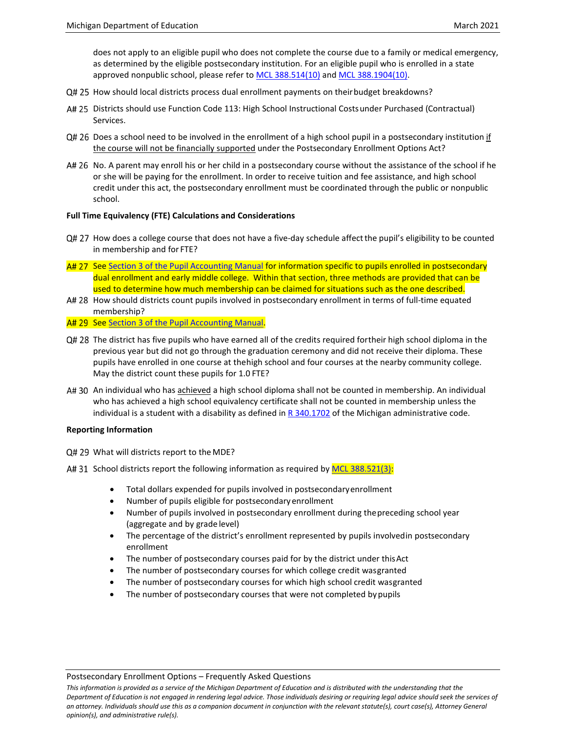does not apply to an eligible pupil who does not complete the course due to a family or medical emergency, as determined by the eligible postsecondary institution. For an eligible pupil who is enrolled in a state approved nonpublic school, please refer to [MCL 388.514\(10\)](http://legislature.mi.gov/doc.aspx?mcl-388-514) an[d MCL 388.1904\(10\).](http://legislature.mi.gov/doc.aspx?mcl-388-1904)

- Q# 25 How should local districts process dual enrollment payments on their budget breakdowns?
- A# 25 Districts should use Function Code 113: High School Instructional Costsunder Purchased (Contractual) Services.
- Q# 26 Does a school need to be involved in the enrollment of a high school pupil in a postsecondary institution if the course will not be financially supported under the Postsecondary Enrollment Options Act?
- A# 26 No. A parent may enroll his or her child in a postsecondary course without the assistance of the school if he or she will be paying for the enrollment. In order to receive tuition and fee assistance, and high school credit under this act, the postsecondary enrollment must be coordinated through the public or nonpublic school.

### **Full Time Equivalency (FTE) Calculations and Considerations**

- Q# 27 How does a college course that does not have a five-day schedule affect the pupil's eligibility to be counted in membership and for FTE?
- A# 27 Se[e Section 3 of the Pupil Accounting Manual](https://www.michigan.gov/mde/0,4615,7-140-6605-22360--,00.html) for information specific to pupils enrolled in postsecondary dual enrollment and early middle college. Within that section, three methods are provided that can be used to determine how much membership can be claimed for situations such as the one described.
- A# 28 How should districts count pupils involved in postsecondary enrollment in terms of full-time equated membership?
- A# 29 Se[e Section 3 of the Pupil Accounting Manual.](https://www.michigan.gov/mde/0,4615,7-140-6605-22360--,00.html)
- Q# 28 The district has five pupils who have earned all of the credits required fortheir high school diploma in the previous year but did not go through the graduation ceremony and did not receive their diploma. These pupils have enrolled in one course at thehigh school and four courses at the nearby community college. May the district count these pupils for 1.0 FTE?
- A# 30 An individual who has achieved a high school diploma shall not be counted in membership. An individual who has achieved a high school equivalency certificate shall not be counted in membership unless the individual is a student with a disability as defined i[n R 340.1702](https://www.michigan.gov/documents/mde/MARSE_Supplemented_with_IDEA_Regs_379598_7.pdf) of the Michigan administrative code.

### **Reporting Information**

Q# 29 What will districts report to the MDE?

- A# 31 School districts report the following information as required by [MCL 388.521\(3\):](http://legislature.mi.gov/doc.aspx?mcl-388-521)
	- Total dollars expended for pupils involved in postsecondaryenrollment
	- Number of pupils eligible for postsecondary enrollment
	- Number of pupils involved in postsecondary enrollment during thepreceding school year (aggregate and by grade level)
	- The percentage of the district's enrollment represented by pupils involvedin postsecondary enrollment
	- The number of postsecondary courses paid for by the district under this Act
	- The number of postsecondary courses for which college credit wasgranted
	- The number of postsecondary courses for which high school credit wasgranted
	- The number of postsecondary courses that were not completed by pupils

#### Postsecondary Enrollment Options – Frequently Asked Questions